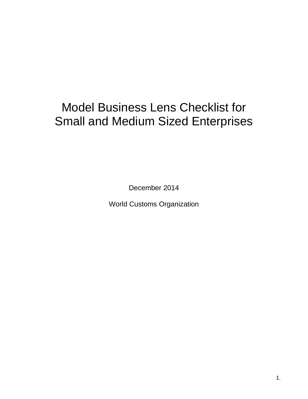# Model Business Lens Checklist for Small and Medium Sized Enterprises

December 2014

World Customs Organization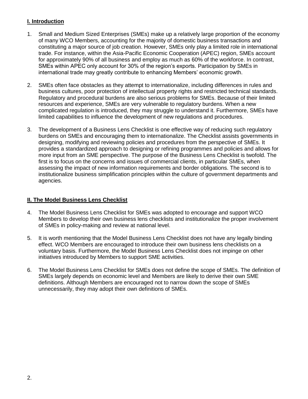## **I. Introduction**

- 1. Small and Medium Sized Enterprises (SMEs) make up a relatively large proportion of the economy of many WCO Members, accounting for the majority of domestic business transactions and constituting a major source of job creation. However, SMEs only play a limited role in international trade. For instance, within the Asia-Pacific Economic Cooperation (APEC) region, SMEs account for approximately 90% of all business and employ as much as 60% of the workforce. In contrast, SMEs within APEC only account for 30% of the region's exports. Participation by SMEs in international trade may greatly contribute to enhancing Members' economic growth.
- 2. SMEs often face obstacles as they attempt to internationalize, including differences in rules and business cultures, poor protection of intellectual property rights and restricted technical standards. Regulatory and procedural burdens are also serious problems for SMEs. Because of their limited resources and experience, SMEs are very vulnerable to regulatory burdens. When a new complicated regulation is introduced, they may struggle to understand it. Furthermore, SMEs have limited capabilities to influence the development of new regulations and procedures.
- 3. The development of a Business Lens Checklist is one effective way of reducing such regulatory burdens on SMEs and encouraging them to internationalize. The Checklist assists governments in designing, modifying and reviewing policies and procedures from the perspective of SMEs. It provides a standardized approach to designing or refining programmes and policies and allows for more input from an SME perspective. The purpose of the Business Lens Checklist is twofold. The first is to focus on the concerns and issues of commercial clients, in particular SMEs, when assessing the impact of new information requirements and border obligations. The second is to institutionalize business simplification principles within the culture of government departments and agencies.

## **II. The Model Business Lens Checklist**

- 4. The Model Business Lens Checklist for SMEs was adopted to encourage and support WCO Members to develop their own business lens checklists and institutionalize the proper involvement of SMEs in policy-making and review at national level.
- 5. It is worth mentioning that the Model Business Lens Checklist does not have any legally binding effect. WCO Members are encouraged to introduce their own business lens checklists on a voluntary basis. Furthermore, the Model Business Lens Checklist does not impinge on other initiatives introduced by Members to support SME activities.
- 6. The Model Business Lens Checklist for SMEs does not define the scope of SMEs. The definition of SMEs largely depends on economic level and Members are likely to derive their own SME definitions. Although Members are encouraged not to narrow down the scope of SMEs unnecessarily, they may adopt their own definitions of SMEs.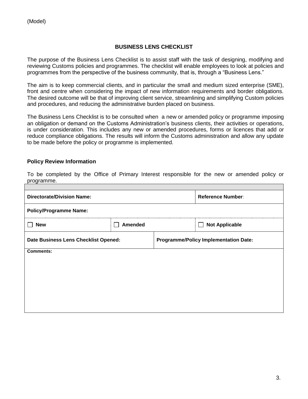## **BUSINESS LENS CHECKLIST**

The purpose of the Business Lens Checklist is to assist staff with the task of designing, modifying and reviewing Customs policies and programmes. The checklist will enable employees to look at policies and programmes from the perspective of the business community, that is, through a "Business Lens."

The aim is to keep commercial clients, and in particular the small and medium sized enterprise (SME), front and centre when considering the impact of new information requirements and border obligations. The desired outcome will be that of improving client service, streamlining and simplifying Custom policies and procedures, and reducing the administrative burden placed on business.

The Business Lens Checklist is to be consulted when a new or amended policy or programme imposing an obligation or demand on the Customs Administration's business clients, their activities or operations, is under consideration. This includes any new or amended procedures, forms or licences that add or reduce compliance obligations. The results will inform the Customs administration and allow any update to be made before the policy or programme is implemented.

#### **Policy Review Information**

To be completed by the Office of Primary Interest responsible for the new or amended policy or programme.

| <b>Directorate/Division Name:</b>    |                |                                              | <b>Reference Number:</b> |
|--------------------------------------|----------------|----------------------------------------------|--------------------------|
| <b>Policy/Programme Name:</b>        |                |                                              |                          |
| <b>New</b>                           | <b>Amended</b> |                                              | <b>Not Applicable</b>    |
| Date Business Lens Checklist Opened: |                | <b>Programme/Policy Implementation Date:</b> |                          |
| <b>Comments:</b>                     |                |                                              |                          |
|                                      |                |                                              |                          |
|                                      |                |                                              |                          |
|                                      |                |                                              |                          |
|                                      |                |                                              |                          |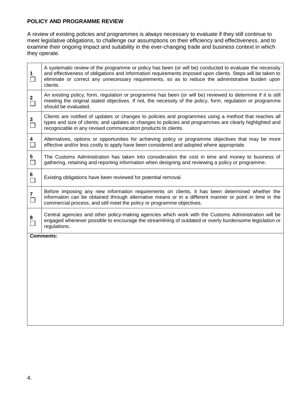#### **POLICY AND PROGRAMME REVIEW**

A review of existing policies and programmes is always necessary to evaluate if they still continue to meet legislative obligations, to challenge our assumptions on their efficiency and effectiveness, and to examine their ongoing impact and suitability in the ever-changing trade and business context in which they operate.

| $\mathbf 1$<br>$\Box$    | A systematic review of the programme or policy has been (or will be) conducted to evaluate the necessity<br>and effectiveness of obligations and information requirements imposed upon clients. Steps will be taken to<br>eliminate or correct any unnecessary requirements, so as to reduce the administrative burden upon<br>clients. |
|--------------------------|-----------------------------------------------------------------------------------------------------------------------------------------------------------------------------------------------------------------------------------------------------------------------------------------------------------------------------------------|
| $\mathbf{2}$<br>$\Box$   | An existing policy, form, regulation or programme has been (or will be) reviewed to determine if it is still<br>meeting the original stated objectives. If not, the necessity of the policy, form, regulation or programme<br>should be evaluated.                                                                                      |
| $\mathbf{3}$<br>$\Box$   | Clients are notified of updates or changes to policies and programmes using a method that reaches all<br>types and size of clients; and updates or changes to policies and programmes are clearly highlighted and<br>recognizable in any revised communication products to clients.                                                     |
| 4<br>$\Box$              | Alternatives, options or opportunities for achieving policy or programme objectives that may be more<br>effective and/or less costly to apply have been considered and adopted where appropriate.                                                                                                                                       |
| 5<br>$\Box$              | The Customs Administration has taken into consideration the cost in time and money to business of<br>gathering, retaining and reporting information when designing and reviewing a policy or programme.                                                                                                                                 |
| 6<br>$\Box$              | Existing obligations have been reviewed for potential removal.                                                                                                                                                                                                                                                                          |
| $\overline{7}$<br>$\Box$ | Before imposing any new information requirements on clients, it has been determined whether the<br>information can be obtained through alternative means or in a different manner or point in time in the<br>commercial process, and still meet the policy or programme objectives.                                                     |
| 8                        | Central agencies and other policy-making agencies which work with the Customs Administration will be<br>engaged whenever possible to encourage the streamlining of outdated or overly burdensome legislation or<br>regulations.                                                                                                         |
|                          | <b>Comments:</b>                                                                                                                                                                                                                                                                                                                        |
|                          |                                                                                                                                                                                                                                                                                                                                         |
|                          |                                                                                                                                                                                                                                                                                                                                         |
|                          |                                                                                                                                                                                                                                                                                                                                         |
|                          |                                                                                                                                                                                                                                                                                                                                         |
|                          |                                                                                                                                                                                                                                                                                                                                         |
|                          |                                                                                                                                                                                                                                                                                                                                         |
|                          |                                                                                                                                                                                                                                                                                                                                         |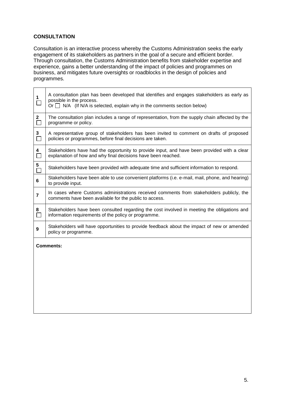## **CONSULTATION**

Consultation is an interactive process whereby the Customs Administration seeks the early engagement of its stakeholders as partners in the goal of a secure and efficient border. Through consultation, the Customs Administration benefits from stakeholder expertise and experience, gains a better understanding of the impact of policies and programmes on business, and mitigates future oversights or roadblocks in the design of policies and programmes.

| 1<br>$\Box$       | A consultation plan has been developed that identifies and engages stakeholders as early as<br>possible in the process.<br>Or $\Box$ N/A (If N/A is selected, explain why in the comments section below) |
|-------------------|----------------------------------------------------------------------------------------------------------------------------------------------------------------------------------------------------------|
| $\mathbf{2}$<br>П | The consultation plan includes a range of representation, from the supply chain affected by the<br>programme or policy.                                                                                  |
| 3<br>$\Box$       | A representative group of stakeholders has been invited to comment on drafts of proposed<br>policies or programmes, before final decisions are taken.                                                    |
| 4                 | Stakeholders have had the opportunity to provide input, and have been provided with a clear<br>explanation of how and why final decisions have been reached.                                             |
| 5                 | Stakeholders have been provided with adequate time and sufficient information to respond.                                                                                                                |
| 6                 | Stakeholders have been able to use convenient platforms (i.e. e-mail, mail, phone, and hearing)<br>to provide input.                                                                                     |
| $\overline{7}$    | In cases where Customs administrations received comments from stakeholders publicly, the<br>comments have been available for the public to access.                                                       |
| 8<br>$\Box$       | Stakeholders have been consulted regarding the cost involved in meeting the obligations and<br>information requirements of the policy or programme.                                                      |
| 9                 | Stakeholders will have opportunities to provide feedback about the impact of new or amended<br>policy or programme.                                                                                      |
|                   | <b>Comments:</b>                                                                                                                                                                                         |
|                   |                                                                                                                                                                                                          |
|                   |                                                                                                                                                                                                          |
|                   |                                                                                                                                                                                                          |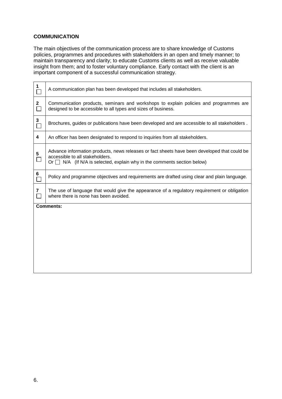## **COMMUNICATION**

The main objectives of the communication process are to share knowledge of Customs policies, programmes and procedures with stakeholders in an open and timely manner; to maintain transparency and clarity; to educate Customs clients as well as receive valuable insight from them; and to foster voluntary compliance. Early contact with the client is an important component of a successful communication strategy.

| 1                 | A communication plan has been developed that includes all stakeholders.                                                                                                                                          |
|-------------------|------------------------------------------------------------------------------------------------------------------------------------------------------------------------------------------------------------------|
| $\mathbf{2}$<br>П | Communication products, seminars and workshops to explain policies and programmes are<br>designed to be accessible to all types and sizes of business.                                                           |
| 3<br>П            | Brochures, guides or publications have been developed and are accessible to all stakeholders.                                                                                                                    |
| 4                 | An officer has been designated to respond to inquiries from all stakeholders.                                                                                                                                    |
| 5<br>$\Box$       | Advance information products, news releases or fact sheets have been developed that could be<br>accessible to all stakeholders.<br>Or $\Box$ N/A (If N/A is selected, explain why in the comments section below) |
| 6                 | Policy and programme objectives and requirements are drafted using clear and plain language.                                                                                                                     |
| 7                 | The use of language that would give the appearance of a regulatory requirement or obligation<br>where there is none has been avoided.                                                                            |
|                   | <b>Comments:</b>                                                                                                                                                                                                 |
|                   |                                                                                                                                                                                                                  |
|                   |                                                                                                                                                                                                                  |
|                   |                                                                                                                                                                                                                  |
|                   |                                                                                                                                                                                                                  |
|                   |                                                                                                                                                                                                                  |
|                   |                                                                                                                                                                                                                  |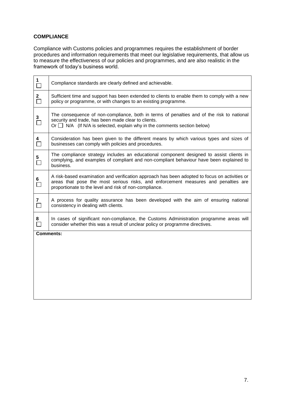# **COMPLIANCE**

Compliance with Customs policies and programmes requires the establishment of border procedures and information requirements that meet our legislative requirements, that allow us to measure the effectiveness of our policies and programmes, and are also realistic in the framework of today's business world.

| $\overline{\square}$   | Compliance standards are clearly defined and achievable.                                                                                                                                                                                      |
|------------------------|-----------------------------------------------------------------------------------------------------------------------------------------------------------------------------------------------------------------------------------------------|
| $\overline{\square}$   | Sufficient time and support has been extended to clients to enable them to comply with a new<br>policy or programme, or with changes to an existing programme.                                                                                |
| $\frac{3}{\Box}$       | The consequence of non-compliance, both in terms of penalties and of the risk to national<br>security and trade, has been made clear to clients.<br>Or $\Box$ N/A (If N/A is selected, explain why in the comments section below)             |
| 4<br>$\Box$            | Consideration has been given to the different means by which various types and sizes of<br>businesses can comply with policies and procedures.                                                                                                |
| 5<br>$\Box$            | The compliance strategy includes an educational component designed to assist clients in<br>complying, and examples of compliant and non-compliant behaviour have been explained to<br>business.                                               |
| $\overline{\square}$   | A risk-based examination and verification approach has been adopted to focus on activities or<br>areas that pose the most serious risks, and enforcement measures and penalties are<br>proportionate to the level and risk of non-compliance. |
| $\mathbf{7}$<br>$\Box$ | A process for quality assurance has been developed with the aim of ensuring national<br>consistency in dealing with clients.                                                                                                                  |
| 8<br>$\Box$            | In cases of significant non-compliance, the Customs Administration programme areas will<br>consider whether this was a result of unclear policy or programme directives.                                                                      |
|                        | <b>Comments:</b>                                                                                                                                                                                                                              |
|                        |                                                                                                                                                                                                                                               |
|                        |                                                                                                                                                                                                                                               |
|                        |                                                                                                                                                                                                                                               |
|                        |                                                                                                                                                                                                                                               |
|                        |                                                                                                                                                                                                                                               |